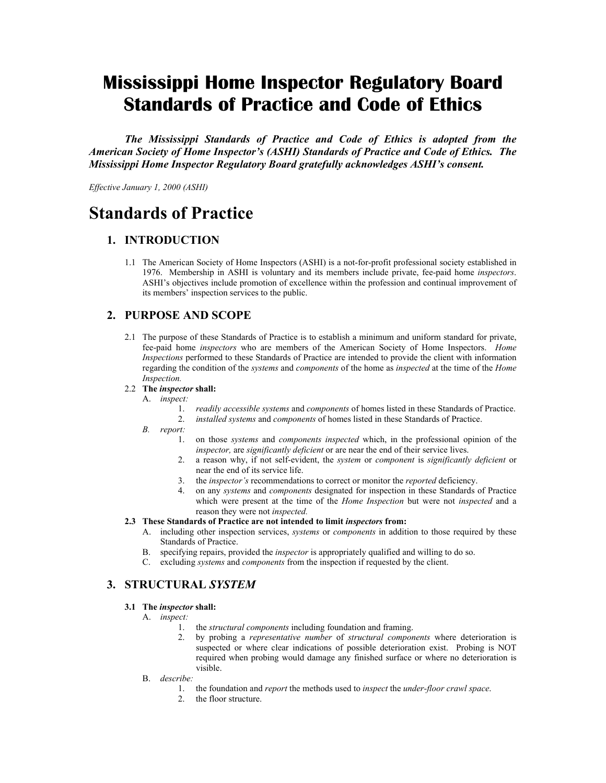# **Mississippi Home Inspector Regulatory Board Standards of Practice and Code of Ethics**

*The Mississippi Standards of Practice and Code of Ethics is adopted from the American Society of Home Inspector's (ASHI) Standards of Practice and Code of Ethics. The Mississippi Home Inspector Regulatory Board gratefully acknowledges ASHI's consent.* 

*Effective January 1, 2000 (ASHI)* 

# **Standards of Practice**

## **1. INTRODUCTION**

1.1 The American Society of Home Inspectors (ASHI) is a not-for-profit professional society established in 1976. Membership in ASHI is voluntary and its members include private, fee-paid home *inspectors*. ASHI's objectives include promotion of excellence within the profession and continual improvement of its members' inspection services to the public.

## **2. PURPOSE AND SCOPE**

2.1 The purpose of these Standards of Practice is to establish a minimum and uniform standard for private, fee-paid home *inspectors* who are members of the American Society of Home Inspectors. *Home Inspections* performed to these Standards of Practice are intended to provide the client with information regarding the condition of the *systems* and *components* of the home as *inspected* at the time of the *Home Inspection.*

#### 2.2 **The** *inspector* **shall:**

- A. *inspect:*
	- 1. *readily accessible systems* and *components* of homes listed in these Standards of Practice.
	- 2. *installed systems* and *components* of homes listed in these Standards of Practice.
- *B. report:* 
	- 1. on those *systems* and *components inspected* which, in the professional opinion of the *inspector,* are *significantly deficient* or are near the end of their service lives.
	- 2. a reason why, if not self-evident, the *system* or *component* is *significantly deficient* or near the end of its service life.
	- 3. the *inspector's* recommendations to correct or monitor the *reported* deficiency.
	- 4. on any *systems* and *components* designated for inspection in these Standards of Practice which were present at the time of the *Home Inspection* but were not *inspected* and a reason they were not *inspected.*

#### 2.3 These Standards of Practice are not intended to limit *inspectors* from:

- A. including other inspection services, *systems* or *components* in addition to those required by these Standards of Practice.
- B. specifying repairs, provided the *inspector* is appropriately qualified and willing to do so.
- C. excluding *systems* and *components* from the inspection if requested by the client.

## **3. STRUCTURAL** *SYSTEM*

#### **3.1 The** *inspector* **shall:**

- A. *inspect:* 
	- 1. the *structural components* including foundation and framing.
	- 2. by probing a *representative number* of *structural components* where deterioration is suspected or where clear indications of possible deterioration exist. Probing is NOT required when probing would damage any finished surface or where no deterioration is visible.
- B. *describe:* 
	- 1. the foundation and *report* the methods used to *inspect* the *under-floor crawl space*.
	- 2. the floor structure.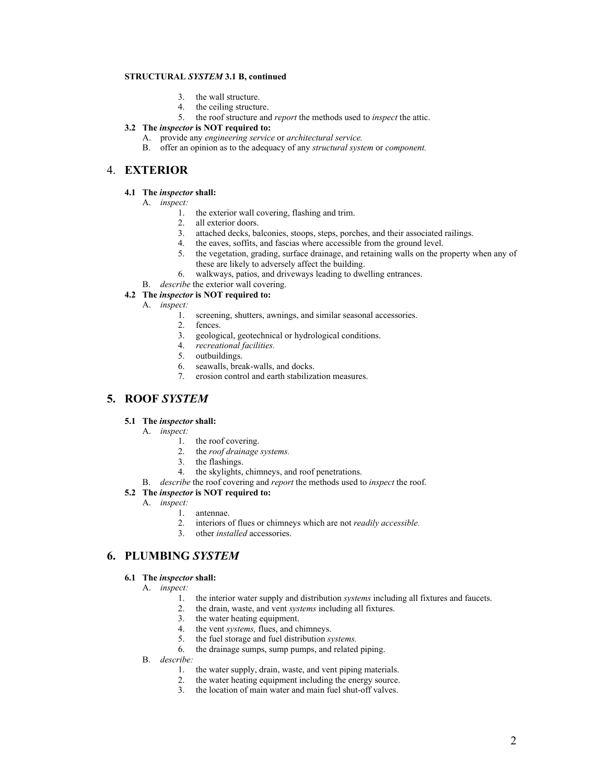#### **STRUCTURAL** *SYSTEM* **3.1 B, continued**

- 3. the wall structure.
- 4. the ceiling structure.
- 5. the roof structure and *report* the methods used to *inspect* the attic.

#### **3.2 The** *inspector* **is NOT required to:**

- A. provide any *engineering service* or *architectural service.*
- B. offer an opinion as to the adequacy of any *structural system* or *component.*

## 4. **EXTERIOR**

#### **4.1 The** *inspector* **shall:**

- A. *inspect:* 
	- 1. the exterior wall covering, flashing and trim.
	- 2. all exterior doors.
	- 3. attached decks, balconies, stoops, steps, porches, and their associated railings.
	- 4. the eaves, soffits, and fascias where accessible from the ground level.
	- 5. the vegetation, grading, surface drainage, and retaining walls on the property when any of these are likely to adversely affect the building.
	- 6. walkways, patios, and driveways leading to dwelling entrances.
- B. *describe* the exterior wall covering.

#### **4.2 The** *inspector* **is NOT required to:**

- A. *inspect:*
	- 1. screening, shutters, awnings, and similar seasonal accessories.
	- 2. fences.
	- 3. geological, geotechnical or hydrological conditions.
	- 4. *recreational facilities.*
	- 5. outbuildings.
	- 6. seawalls, break-walls, and docks.
	- 7. erosion control and earth stabilization measures.

## **5. ROOF** *SYSTEM*

#### **5.1 The** *inspector* **shall:**

- A. *inspect:*
	- 1. the roof covering.
	- 2. the *roof drainage systems.*
	- 3. the flashings.
	- 4. the skylights, chimneys, and roof penetrations.
- B. *describe* the roof covering and *report* the methods used to *inspect* the roof.

#### **5.2 The** *inspector* **is NOT required to:**

- A. *inspect:* 
	- 1. antennae.
	- 2. interiors of flues or chimneys which are not *readily accessible.*
	- 3. other *installed* accessories.

## **6. PLUMBING** *SYSTEM*

#### **6.1 The** *inspector* **shall:**

- A. *inspect:* 
	- 1. the interior water supply and distribution *systems* including all fixtures and faucets.
	- 2. the drain, waste, and vent *systems* including all fixtures.
	- 3. the water heating equipment.
	- 4. the vent *systems,* flues, and chimneys.
	- 5. the fuel storage and fuel distribution *systems.*
	- 6. the drainage sumps, sump pumps, and related piping.
- B. *describe:*
	- 1. the water supply, drain, waste, and vent piping materials.
	- 2. the water heating equipment including the energy source.
	- 3. the location of main water and main fuel shut-off valves.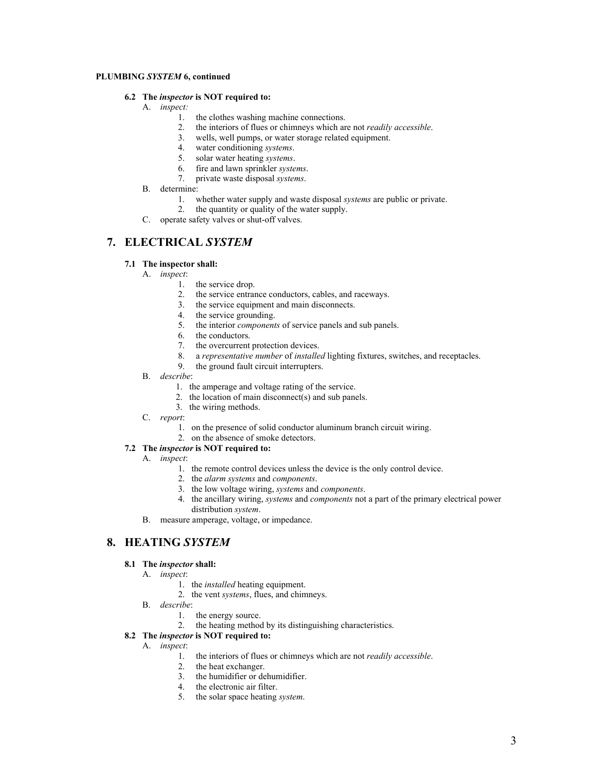## **PLUMBING** *SYSTEM* **6, continued**

#### **6.2 The** *inspector* **is NOT required to:**

- A. *inspect:*
	- 1. the clothes washing machine connections.
	- 2. the interiors of flues or chimneys which are not *readily accessible*.
	- 3. wells, well pumps, or water storage related equipment.<br>4. water conditioning *systems*.
	- water conditioning *systems*.
	- 5. solar water heating *systems*.
	- 6. fire and lawn sprinkler *systems*.
	- 7. private waste disposal *systems*.
- B. determine:
	- 1. whether water supply and waste disposal *systems* are public or private.
	- 2. the quantity or quality of the water supply.
- C. operate safety valves or shut-off valves.

## **7. ELECTRICAL** *SYSTEM*

#### **7.1 The inspector shall:**

- A. *inspect*:
	- 1. the service drop.
	- 2. the service entrance conductors, cables, and raceways.
	- 3. the service equipment and main disconnects.
	- 4. the service grounding.
	- 5. the interior *components* of service panels and sub panels.
	- 6. the conductors.<br>7. the overcurrent
	- the overcurrent protection devices.
	- 8. a *representative number* of *installed* lighting fixtures, switches, and receptacles.
	- 9. the ground fault circuit interrupters.
- B. *describe*:
	- 1. the amperage and voltage rating of the service.
	- 2. the location of main disconnect(s) and sub panels.
	- 3. the wiring methods.
- C. *report*:
	- 1. on the presence of solid conductor aluminum branch circuit wiring.
	- 2. on the absence of smoke detectors.

## **7.2 The** *inspector* **is NOT required to:**

- A. *inspect*:
	- 1. the remote control devices unless the device is the only control device.
	- 2. the *alarm systems* and *components*.
	- 3. the low voltage wiring, *systems* and *components*.
	- 4. the ancillary wiring, *systems* and *components* not a part of the primary electrical power distribution *system*.
- B. measure amperage, voltage, or impedance.

## **8. HEATING** *SYSTEM*

#### **8.1 The** *inspector* **shall:**

- A. *inspect*:
	- 1. the *installed* heating equipment.
	- 2. the vent *systems*, flues, and chimneys.
- B. *describe*:
	- 1. the energy source.
	- 2. the heating method by its distinguishing characteristics.

## **8.2 The** *inspector* **is NOT required to:**

- A. *inspect*:
	- 1. the interiors of flues or chimneys which are not *readily accessible*.
	- 2. the heat exchanger.
	- 3. the humidifier or dehumidifier.
	- 4. the electronic air filter.
	- 5. the solar space heating *system*.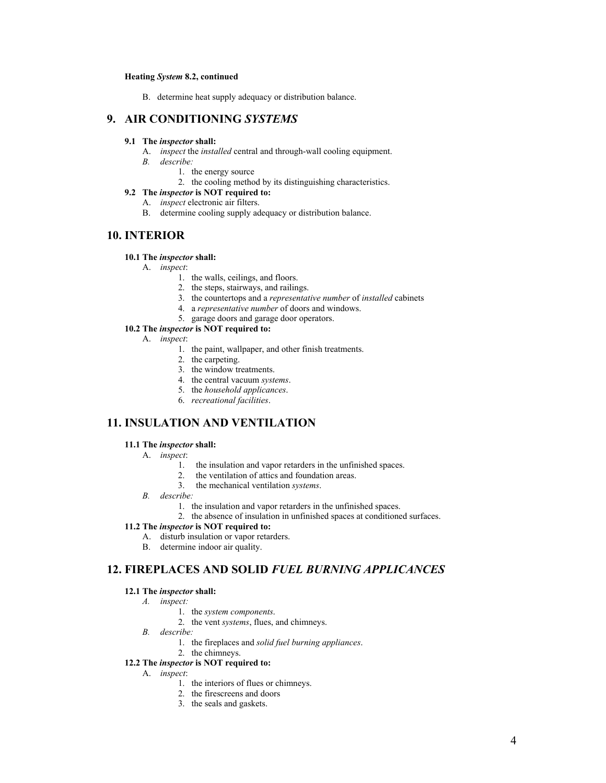#### **Heating** *System* **8.2, continued**

B. determine heat supply adequacy or distribution balance.

## **9. AIR CONDITIONING** *SYSTEMS*

#### **9.1 The** *inspector* **shall:**

- A. *inspect* the *installed* central and through-wall cooling equipment.
- *B. describe:* 
	- 1. the energy source
	- 2. the cooling method by its distinguishing characteristics.

## **9.2 The** *inspector* **is NOT required to:**

- A. *inspect* electronic air filters.
- B. determine cooling supply adequacy or distribution balance.

## **10. INTERIOR**

#### **10.1 The** *inspector* **shall:**

- A. *inspect*:
	- 1. the walls, ceilings, and floors.
	- 2. the steps, stairways, and railings.
	- 3. the countertops and a *representative number* of *installed* cabinets
	- 4. a *representative number* of doors and windows.
	- 5. garage doors and garage door operators.

#### **10.2 The** *inspector* **is NOT required to:**

- A. *inspect*:
	- 1. the paint, wallpaper, and other finish treatments.
	- 2. the carpeting.
	- 3. the window treatments.
	- 4. the central vacuum *systems*.
	- 5. the *household applicances*.
	- 6. *recreational facilities*.

## **11. INSULATION AND VENTILATION**

#### **11.1 The** *inspector* **shall:**

- A. *inspect*:
	- 1. the insulation and vapor retarders in the unfinished spaces.
	- 2. the ventilation of attics and foundation areas.
	- 3. the mechanical ventilation *systems*.
- *B. describe:* 
	- 1. the insulation and vapor retarders in the unfinished spaces.
	- 2. the absence of insulation in unfinished spaces at conditioned surfaces.

#### **11.2 The** *inspector* **is NOT required to:**

- A. disturb insulation or vapor retarders.
- B. determine indoor air quality.

## **12. FIREPLACES AND SOLID** *FUEL BURNING APPLICANCES*

#### **12.1 The** *inspector* **shall:**

*A. inspect:* 

- 1. the *system components*.
- 2. the vent *systems*, flues, and chimneys.
- *B. describe:* 
	- 1. the fireplaces and *solid fuel burning appliances*.
- 2. the chimneys.

## **12.2 The** *inspector* **is NOT required to:**

- A. *inspect*:
	- 1. the interiors of flues or chimneys.
	- 2. the firescreens and doors
	- 3. the seals and gaskets.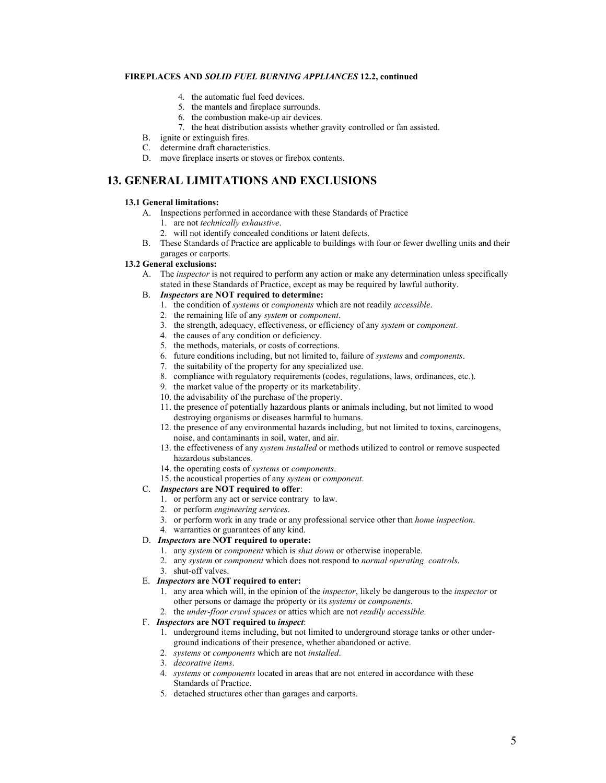#### **FIREPLACES AND** *SOLID FUEL BURNING APPLIANCES* **12.2, continued**

- 4. the automatic fuel feed devices.
- 5. the mantels and fireplace surrounds.
- 6. the combustion make-up air devices.
- 7. the heat distribution assists whether gravity controlled or fan assisted.
- 
- B. ignite or extinguish fires.<br>C. determine draft character determine draft characteristics.
- D. move fireplace inserts or stoves or firebox contents.

## **13. GENERAL LIMITATIONS AND EXCLUSIONS**

#### **13.1 General limitations:**

- A. Inspections performed in accordance with these Standards of Practice
	- 1. are not *technically exhaustive*.
	- 2. will not identify concealed conditions or latent defects.
- B. These Standards of Practice are applicable to buildings with four or fewer dwelling units and their garages or carports.

#### **13.2 General exclusions:**

- A. The *inspector* is not required to perform any action or make any determination unless specifically stated in these Standards of Practice, except as may be required by lawful authority.
- B. *Inspectors* **are NOT required to determine:**
	- 1. the condition of *systems* or *components* which are not readily *accessible*.
	- 2. the remaining life of any *system* or *component*.
	- 3. the strength, adequacy, effectiveness, or efficiency of any *system* or *component*.
	- 4. the causes of any condition or deficiency.
	- 5. the methods, materials, or costs of corrections.
	- 6. future conditions including, but not limited to, failure of *systems* and *components*.
	- 7. the suitability of the property for any specialized use.
	- 8. compliance with regulatory requirements (codes, regulations, laws, ordinances, etc.).
	- 9. the market value of the property or its marketability.
	- 10. the advisability of the purchase of the property.
	- 11. the presence of potentially hazardous plants or animals including, but not limited to wood destroying organisms or diseases harmful to humans.
	- 12. the presence of any environmental hazards including, but not limited to toxins, carcinogens, noise, and contaminants in soil, water, and air.
	- 13. the effectiveness of any *system installed* or methods utilized to control or remove suspected hazardous substances.
	- 14. the operating costs of *systems* or *components*.
	- 15. the acoustical properties of any *system* or *component*.

## C. *Inspectors* **are NOT required to offer**:

- 1. or perform any act or service contrary to law.
- 2. or perform *engineering services*.
- 3. or perform work in any trade or any professional service other than *home inspection*.
- 4. warranties or guarantees of any kind.
- D. *Inspectors* **are NOT required to operate:** 
	- 1. any *system* or *component* which is *shut down* or otherwise inoperable.
	- 2. any *system* or *component* which does not respond to *normal operating controls*.
	- 3. shut-off valves.

#### E. *Inspectors* **are NOT required to enter:**

- 1. any area which will, in the opinion of the *inspector*, likely be dangerous to the *inspector* or other persons or damage the property or its *systems* or *components*.
- 2. the *under-floor crawl spaces* or attics which are not *readily accessible*.

#### F. *Inspectors* **are NOT required to** *inspect*:

- 1. underground items including, but not limited to underground storage tanks or other under ground indications of their presence, whether abandoned or active.
- 2. *systems* or *components* which are not *installed*.
- 3. *decorative items*.
- 4. *systems* or *components* located in areas that are not entered in accordance with these Standards of Practice.
- 5. detached structures other than garages and carports.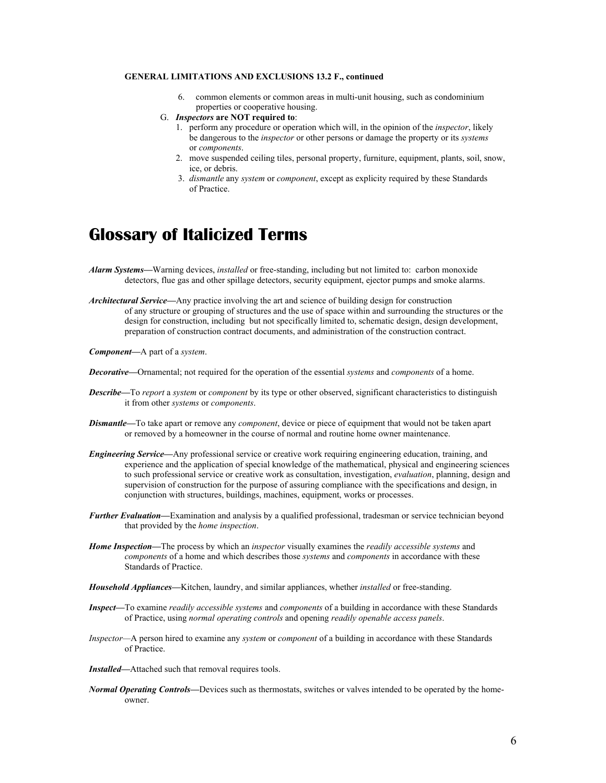#### **GENERAL LIMITATIONS AND EXCLUSIONS 13.2 F., continued**

- 6. common elements or common areas in multi-unit housing, such as condominium properties or cooperative housing.
- G. *Inspectors* **are NOT required to**:
	- 1. perform any procedure or operation which will, in the opinion of the *inspector*, likely be dangerous to the *inspector* or other persons or damage the property or its *systems* or *components*.
	- 2. move suspended ceiling tiles, personal property, furniture, equipment, plants, soil, snow, ice, or debris.
	- 3. *dismantle* any *system* or *component*, except as explicity required by these Standards of Practice.

# **Glossary of Italicized Terms**

- *Alarm Systems—*Warning devices, *installed* or free-standing, including but not limited to: carbon monoxide detectors, flue gas and other spillage detectors, security equipment, ejector pumps and smoke alarms.
- *Architectural Service—*Any practice involving the art and science of building design for construction of any structure or grouping of structures and the use of space within and surrounding the structures or the design for construction, including but not specifically limited to, schematic design, design development, preparation of construction contract documents, and administration of the construction contract.

*Component—*A part of a *system*.

- *Decorative—*Ornamental; not required for the operation of the essential *systems* and *components* of a home.
- *Describe—*To *report* a *system* or *component* by its type or other observed, significant characteristics to distinguish it from other *systems* or *components*.
- *Dismantle—*To take apart or remove any *component*, device or piece of equipment that would not be taken apart or removed by a homeowner in the course of normal and routine home owner maintenance.
- *Engineering Service—*Any professional service or creative work requiring engineering education, training, and experience and the application of special knowledge of the mathematical, physical and engineering sciences to such professional service or creative work as consultation, investigation, *evaluation*, planning, design and supervision of construction for the purpose of assuring compliance with the specifications and design, in conjunction with structures, buildings, machines, equipment, works or processes.
- *Further Evaluation—*Examination and analysis by a qualified professional, tradesman or service technician beyond that provided by the *home inspection*.
- *Home Inspection—*The process by which an *inspector* visually examines the *readily accessible systems* and *components* of a home and which describes those *systems* and *components* in accordance with these Standards of Practice.
- *Household Appliances—*Kitchen, laundry, and similar appliances, whether *installed* or free-standing.
- *Inspect—*To examine *readily accessible systems* and *components* of a building in accordance with these Standards of Practice, using *normal operating controls* and opening *readily openable access panels*.
- *Inspector—*A person hired to examine any *system* or *component* of a building in accordance with these Standards of Practice.
- *Installed—*Attached such that removal requires tools.
- *Normal Operating Controls—*Devices such as thermostats, switches or valves intended to be operated by the homeowner.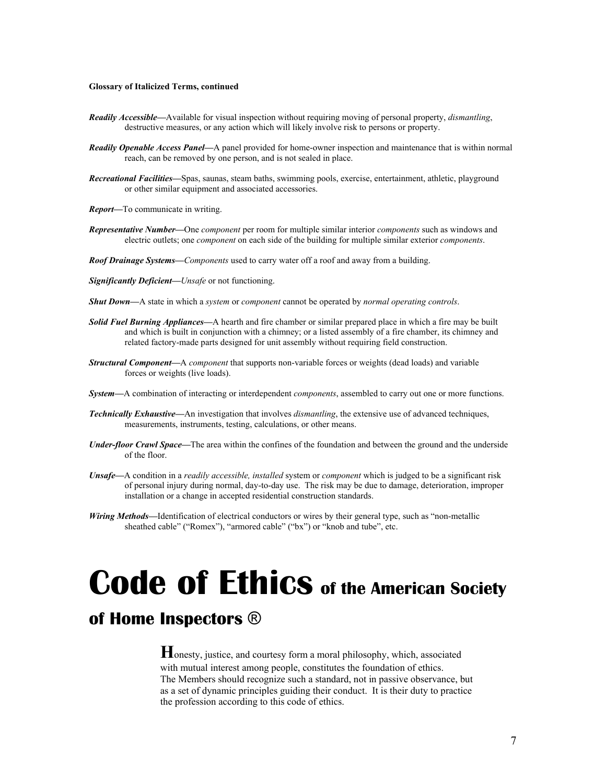#### **Glossary of Italicized Terms, continued**

- *Readily Accessible—*Available for visual inspection without requiring moving of personal property, *dismantling*, destructive measures, or any action which will likely involve risk to persons or property.
- *Readily Openable Access Panel—*A panel provided for home-owner inspection and maintenance that is within normal reach, can be removed by one person, and is not sealed in place.
- *Recreational Facilities—*Spas, saunas, steam baths, swimming pools, exercise, entertainment, athletic, playground or other similar equipment and associated accessories.
- *Report—*To communicate in writing.
- *Representative Number—*One *component* per room for multiple similar interior *components* such as windows and electric outlets; one *component* on each side of the building for multiple similar exterior *components*.
- *Roof Drainage Systems—Components* used to carry water off a roof and away from a building.

*Significantly Deficient—Unsafe* or not functioning.

- *Shut Down—*A state in which a *system* or *component* cannot be operated by *normal operating controls*.
- *Solid Fuel Burning Appliances—*A hearth and fire chamber or similar prepared place in which a fire may be built and which is built in conjunction with a chimney; or a listed assembly of a fire chamber, its chimney and related factory-made parts designed for unit assembly without requiring field construction.
- *Structural Component—*A *component* that supports non-variable forces or weights (dead loads) and variable forces or weights (live loads).
- *System—*A combination of interacting or interdependent *components*, assembled to carry out one or more functions.
- *Technically Exhaustive—*An investigation that involves *dismantling*, the extensive use of advanced techniques, measurements, instruments, testing, calculations, or other means.
- *Under-floor Crawl Space—*The area within the confines of the foundation and between the ground and the underside of the floor.
- *Unsafe—*A condition in a *readily accessible, installed* system or *component* which is judged to be a significant risk of personal injury during normal, day-to-day use. The risk may be due to damage, deterioration, improper installation or a change in accepted residential construction standards.
- *Wiring Methods—*Identification of electrical conductors or wires by their general type, such as "non-metallic sheathed cable" ("Romex"), "armored cable" ("bx") or "knob and tube", etc.

# **Code of Ethics of the American Society**

# **of Home Inspectors** ®

**H**onesty, justice, and courtesy form a moral philosophy, which, associated with mutual interest among people, constitutes the foundation of ethics. The Members should recognize such a standard, not in passive observance, but as a set of dynamic principles guiding their conduct. It is their duty to practice the profession according to this code of ethics.